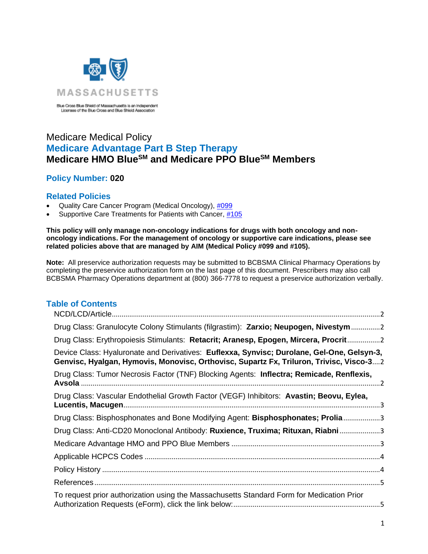

Blue Cross Blue Shield of Massachusetts is an Independent<br>Licensee of the Blue Cross and Blue Shield Association

# Medicare Medical Policy **Medicare Advantage Part B Step Therapy Medicare HMO BlueSM and Medicare PPO BlueSM Members**

# **Policy Number: 020**

### **Related Policies**

- Quality Care Cancer Program (Medical Oncology), [#099](https://www.bluecrossma.org/medical-policies/sites/g/files/csphws2091/files/acquiadam-assets/099%20AIM%20Oncology%20Medication%20Management%20Program.pdf)
- Supportive Care Treatments for Patients with Cancer, [#105](https://www.bluecrossma.org/medical-policies/sites/g/files/csphws2091/files/acquiadam-assets/105%20Supportive%20Care%20Treatments%20for%20Patients%20with%20Cancer.pdf)

**This policy will only manage non-oncology indications for drugs with both oncology and nononcology indications. For the management of oncology or supportive care indications, please see related policies above that are managed by AIM (Medical Policy #099 and #105).**

**Note:** All preservice authorization requests may be submitted to BCBSMA Clinical Pharmacy Operations by completing the preservice authorization form on the last page of this document. Prescribers may also call BCBSMA Pharmacy Operations department at (800) 366-7778 to request a preservice authorization verbally.

# **Table of Contents**

| Drug Class: Granulocyte Colony Stimulants (filgrastim): Zarxio; Neupogen, Nivestym 2                                                                                                  |  |
|---------------------------------------------------------------------------------------------------------------------------------------------------------------------------------------|--|
| Drug Class: Erythropoiesis Stimulants: Retacrit; Aranesp, Epogen, Mircera, Procrit2                                                                                                   |  |
| Device Class: Hyaluronate and Derivatives: Euflexxa, Synvisc; Durolane, Gel-One, Gelsyn-3,<br>Genvisc, Hyalgan, Hymovis, Monovisc, Orthovisc, Supartz Fx, Triluron, Trivisc, Visco-32 |  |
| Drug Class: Tumor Necrosis Factor (TNF) Blocking Agents: Inflectra; Remicade, Renflexis,                                                                                              |  |
| Drug Class: Vascular Endothelial Growth Factor (VEGF) Inhibitors: Avastin; Beovu, Eylea,                                                                                              |  |
| Drug Class: Bisphosphonates and Bone Modifying Agent: Bisphosphonates; Prolia3                                                                                                        |  |
| Drug Class: Anti-CD20 Monoclonal Antibody: Ruxience, Truxima; Rituxan, Riabni3                                                                                                        |  |
|                                                                                                                                                                                       |  |
|                                                                                                                                                                                       |  |
|                                                                                                                                                                                       |  |
|                                                                                                                                                                                       |  |
| To request prior authorization using the Massachusetts Standard Form for Medication Prior                                                                                             |  |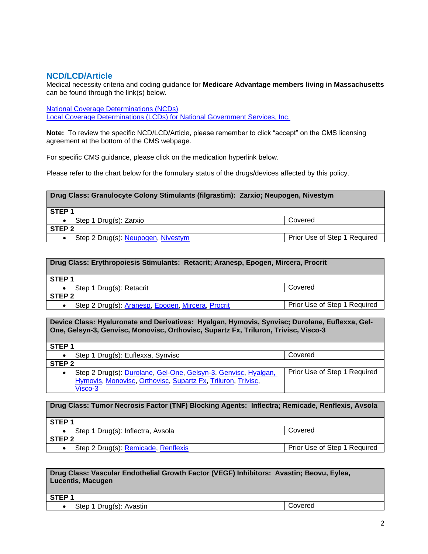### <span id="page-1-0"></span>**NCD/LCD/Article**

Medical necessity criteria and coding guidance for **Medicare Advantage members living in Massachusetts** can be found through the link(s) below.

[National Coverage Determinations \(NCDs\)](https://www.cms.gov/medicare-coverage-database/indexes/ncd-alphabetical-index.aspx?bc=AgAAAAAAAAAA&) [Local Coverage Determinations \(LCDs\) for National Government Services, Inc.](https://www.cms.gov/medicare-coverage-database/indexes/lcd-list.aspx?Cntrctr=304&ContrVer=1&CntrctrSelected=304*1&s=24&DocType=1&bc=AAgAAAAAAAAA&#aFinal)

**Note:** To review the specific NCD/LCD/Article, please remember to click "accept" on the CMS licensing agreement at the bottom of the CMS webpage.

For specific CMS guidance, please click on the medication hyperlink below.

Please refer to the chart below for the formulary status of the drugs/devices affected by this policy.

<span id="page-1-1"></span>

| Drug Class: Granulocyte Colony Stimulants (filgrastim): Zarxio; Neupogen, Nivestym |                              |
|------------------------------------------------------------------------------------|------------------------------|
| STEP <sub>1</sub>                                                                  |                              |
| Step 1 Drug(s): Zarxio                                                             | Covered                      |
| STEP <sub>2</sub>                                                                  |                              |
| Step 2 Drug(s): Neupogen, Nivestym                                                 | Prior Use of Step 1 Required |

<span id="page-1-2"></span>

| Drug Class: Erythropoiesis Stimulants: Retacrit; Aranesp, Epogen, Mircera, Procrit |                              |
|------------------------------------------------------------------------------------|------------------------------|
| STEP <sub>1</sub>                                                                  |                              |
| Step 1 Drug(s): Retacrit                                                           | Covered                      |
| STEP <sub>2</sub>                                                                  |                              |
| Step 2 Drug(s): Aranesp, Epogen, Mircera, Procrit                                  | Prior Use of Step 1 Required |

<span id="page-1-3"></span>**Device Class: Hyaluronate and Derivatives: Hyalgan, Hymovis, Synvisc; Durolane, Euflexxa, Gel-One, Gelsyn-3, Genvisc, Monovisc, Orthovisc, Supartz Fx, Triluron, Trivisc, Visco-3**

| STEP <sub>1</sub>                                                                                                                              |                              |
|------------------------------------------------------------------------------------------------------------------------------------------------|------------------------------|
| Step 1 Drug(s): Euflexxa, Synvisc                                                                                                              | Covered                      |
| STEP <sub>2</sub>                                                                                                                              |                              |
| Step 2 Drug(s): Durolane, Gel-One, Gelsyn-3, Genvisc, Hyalgan,<br>٠<br>Hymovis, Monovisc, Orthovisc, Supartz Fx, Triluron, Trivisc,<br>Visco-3 | Prior Use of Step 1 Required |

<span id="page-1-4"></span>**Drug Class: Tumor Necrosis Factor (TNF) Blocking Agents: Inflectra; Remicade, Renflexis, Avsola STEP 1** • Step 1 Drug(s): Inflectra, Avsola Covered **STEP 2** • Step 2 Drug(s): [Remicade,](https://www.cms.gov/medicare-coverage-database/new-search/search-results.aspx?keyword=Infliximab&keywordType=starts&areaId=s24&docType=NCA,CAL,NCD,MEDCAC,TA,MCD,6,3,5,1,F,P&contractOption=all) [Renflexis](https://www.cms.gov/medicare-coverage-database/new-search/search-results.aspx?keyword=infliximab-abda&keywordType=starts&areaId=s24&docType=NCA,CAL,NCD,MEDCAC,TA,MCD,6,3,5,1,F,P&contractOption=all) Prior Use of Step 1 Required

#### <span id="page-1-5"></span>**Drug Class: Vascular Endothelial Growth Factor (VEGF) Inhibitors: Avastin; Beovu, Eylea, Lucentis, Macugen**

**STEP 1**

• Step 1 Drug(s): Avastin Covered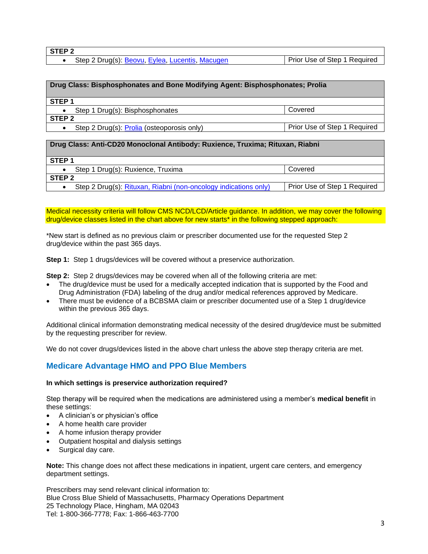• Step 2 Drug(s): [Beovu,](https://www.cms.gov/medicare-coverage-database/new-search/search-results.aspx?keyword=Brolucizumab&keywordType=starts&areaId=s24&docType=NCA,CAL,NCD,MEDCAC,TA,MCD,6,3,5,1,F,P&contractOption=all) [Eylea,](https://www.cms.gov/medicare-coverage-database/new-search/search-results.aspx?keyword=Aflibercept&keywordType=starts&areaId=s24&docType=NCA,CAL,NCD,MEDCAC,TA,MCD,6,3,5,1,F,P&contractOption=all) [Lucentis,](https://www.cms.gov/medicare-coverage-database/new-search/search-results.aspx?keyword=Ranibizumab&keywordType=starts&areaId=s24&docType=NCA,CAL,NCD,MEDCAC,TA,MCD,6,3,5,1,F,P&contractOption=all) [Macugen](https://www.cms.gov/medicare-coverage-database/new-search/search-results.aspx?keyword=Pegaptanib&keywordType=starts&areaId=s24&docType=NCA,CAL,NCD,MEDCAC,TA,MCD,6,3,5,1,F,P&contractOption=all) Prior Use of Step 1 Required

<span id="page-2-1"></span><span id="page-2-0"></span>

| Drug Class: Bisphosphonates and Bone Modifying Agent: Bisphosphonates; Prolia |                              |
|-------------------------------------------------------------------------------|------------------------------|
|                                                                               |                              |
| STEP <sub>1</sub>                                                             |                              |
|                                                                               |                              |
| Step 1 Drug(s): Bisphosphonates                                               | Covered                      |
| STEP <sub>2</sub>                                                             |                              |
| Step 2 Drug(s): Prolia (osteoporosis only)                                    | Prior Use of Step 1 Required |
|                                                                               |                              |
| Drug Class: Anti-CD20 Monoclonal Antibody: Ruxience, Truxima; Rituxan, Riabni |                              |
|                                                                               |                              |
| STEP <sub>1</sub>                                                             |                              |
| Step 1 Drug(s): Ruxience, Truxima                                             | Covered                      |
| STEP <sub>2</sub>                                                             |                              |
| Step 2 Drug(s): Rituxan, Riabni (non-oncology indications only)               | Prior Use of Step 1 Required |

Medical necessity criteria will follow CMS NCD/LCD/Article guidance. In addition, we may cover the following drug/device classes listed in the chart above for new starts\* in the following stepped approach:

\*New start is defined as no previous claim or prescriber documented use for the requested Step 2 drug/device within the past 365 days.

**Step 1:** Step 1 drugs/devices will be covered without a preservice authorization.

**Step 2:** Step 2 drugs/devices may be covered when all of the following criteria are met:

- The drug/device must be used for a medically accepted indication that is supported by the Food and Drug Administration (FDA) labeling of the drug and/or medical references approved by Medicare.
- There must be evidence of a BCBSMA claim or prescriber documented use of a Step 1 drug/device within the previous 365 days.

Additional clinical information demonstrating medical necessity of the desired drug/device must be submitted by the requesting prescriber for review.

We do not cover drugs/devices listed in the above chart unless the above step therapy criteria are met.

## <span id="page-2-2"></span>**Medicare Advantage HMO and PPO Blue Members**

#### **In which settings is preservice authorization required?**

Step therapy will be required when the medications are administered using a member's **medical benefit** in these settings:

- A clinician's or physician's office
- A home health care provider
- A home infusion therapy provider
- Outpatient hospital and dialysis settings
- Surgical day care.

**Note:** This change does not affect these medications in inpatient, urgent care centers, and emergency department settings.

Prescribers may send relevant clinical information to: Blue Cross Blue Shield of Massachusetts, Pharmacy Operations Department 25 Technology Place, Hingham, MA 02043 Tel: 1-800-366-7778; Fax: 1-866-463-7700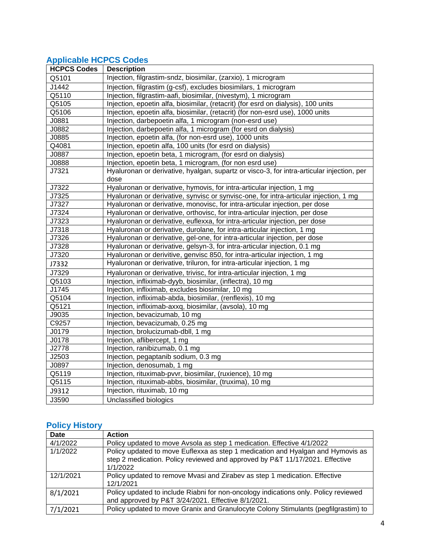# <span id="page-3-0"></span>**Applicable HCPCS Codes**

| <b>HCPCS Codes</b> | <b>Description</b>                                                                        |
|--------------------|-------------------------------------------------------------------------------------------|
| Q5101              | Injection, filgrastim-sndz, biosimilar, (zarxio), 1 microgram                             |
| J1442              | Injection, filgrastim (g-csf), excludes biosimilars, 1 microgram                          |
| Q5110              | Injection, filgrastim-aafi, biosimilar, (nivestym), 1 microgram                           |
| Q5105              | Injection, epoetin alfa, biosimilar, (retacrit) (for esrd on dialysis), 100 units         |
| Q5106              | Injection, epoetin alfa, biosimilar, (retacrit) (for non-esrd use), 1000 units            |
| J0881              | Injection, darbepoetin alfa, 1 microgram (non-esrd use)                                   |
| J0882              | Injection, darbepoetin alfa, 1 microgram (for esrd on dialysis)                           |
| J0885              | Injection, epoetin alfa, (for non-esrd use), 1000 units                                   |
| Q4081              | Injection, epoetin alfa, 100 units (for esrd on dialysis)                                 |
| J0887              | Injection, epoetin beta, 1 microgram, (for esrd on dialysis)                              |
| J0888              | Injection, epoetin beta, 1 microgram, (for non esrd use)                                  |
| J7321              | Hyaluronan or derivative, hyalgan, supartz or visco-3, for intra-articular injection, per |
|                    | dose                                                                                      |
| J7322              | Hyaluronan or derivative, hymovis, for intra-articular injection, 1 mg                    |
| J7325              | Hyaluronan or derivative, synvisc or synvisc-one, for intra-articular injection, 1 mg     |
| J7327              | Hyaluronan or derivative, monovisc, for intra-articular injection, per dose               |
| J7324              | Hyaluronan or derivative, orthovisc, for intra-articular injection, per dose              |
| J7323              | Hyaluronan or derivative, euflexxa, for intra-articular injection, per dose               |
| J7318              | Hyaluronan or derivative, durolane, for intra-articular injection, 1 mg                   |
| J7326              | Hyaluronan or derivative, gel-one, for intra-articular injection, per dose                |
| J7328              | Hyaluronan or derivative, gelsyn-3, for intra-articular injection, 0.1 mg                 |
| J7320              | Hyaluronan or derivitive, genvisc 850, for intra-articular injection, 1 mg                |
| J7332              | Hyaluronan or derivative, triluron, for intra-articular injection, 1 mg                   |
| J7329              | Hyaluronan or derivative, trivisc, for intra-articular injection, 1 mg                    |
| Q5103              | Injection, infliximab-dyyb, biosimilar, (inflectra), 10 mg                                |
| J1745              | Injection, infliximab, excludes biosimilar, 10 mg                                         |
| Q5104              | Injection, infliximab-abda, biosimilar, (renflexis), 10 mg                                |
| Q5121              | Injection, infliximab-axxq, biosimilar, (avsola), 10 mg                                   |
| J9035              | Injection, bevacizumab, 10 mg                                                             |
| C9257              | Injection, bevacizumab, 0.25 mg                                                           |
| J0179              | Injection, brolucizumab-dbll, 1 mg                                                        |
| J0178              | Injection, aflibercept, 1 mg                                                              |
| J2778              | Injection, ranibizumab, 0.1 mg                                                            |
| J2503              | Injection, pegaptanib sodium, 0.3 mg                                                      |
| J0897              | Injection, denosumab, 1 mg                                                                |
| Q5119              | Injection, rituximab-pvvr, biosimilar, (ruxience), 10 mg                                  |
| Q5115              | Injection, rituximab-abbs, biosimilar, (truxima), 10 mg                                   |
| J9312              | Injection, rituximab, 10 mg                                                               |
| J3590              | Unclassified biologics                                                                    |

# <span id="page-3-1"></span>**Policy History**

| <b>Date</b> | <b>Action</b>                                                                                                                                                               |
|-------------|-----------------------------------------------------------------------------------------------------------------------------------------------------------------------------|
| 4/1/2022    | Policy updated to move Avsola as step 1 medication. Effective 4/1/2022                                                                                                      |
| 1/1/2022    | Policy updated to move Euflexxa as step 1 medication and Hyalgan and Hymovis as<br>step 2 medication. Policy reviewed and approved by P&T 11/17/2021. Effective<br>1/1/2022 |
| 12/1/2021   | Policy updated to remove Mvasi and Zirabev as step 1 medication. Effective<br>12/1/2021                                                                                     |
| 8/1/2021    | Policy updated to include Riabni for non-oncology indications only. Policy reviewed<br>and approved by P&T 3/24/2021. Effective 8/1/2021.                                   |
| 7/1/2021    | Policy updated to move Granix and Granulocyte Colony Stimulants (pegfilgrastim) to                                                                                          |